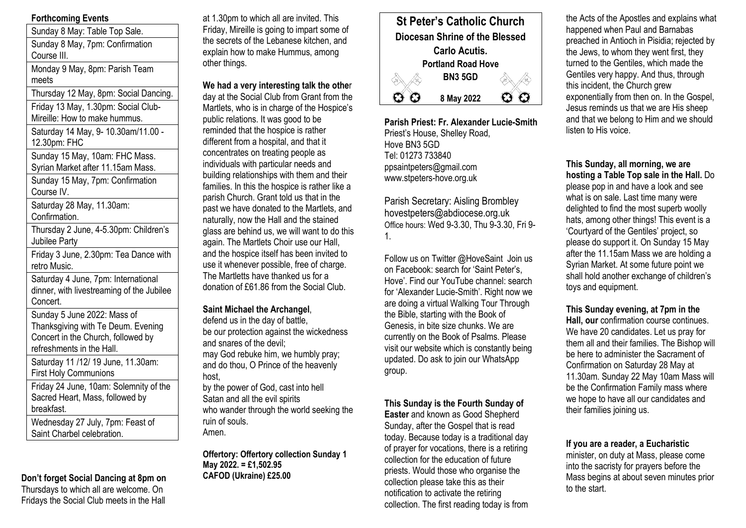# **Forthcoming Events**

Sunday 8 May: Table Top Sale. Sunday 8 May, 7pm: Confirmation Course III. Monday 9 May, 8pm: Parish Team meets Thursday 12 May, 8pm: Social Dancing. Friday 13 May, 1.30pm: Social Club-Mireille: How to make hummus. Saturday 14 May, 9- 10.30am/11.00 - 12.30pm: FHC Sunday 15 May, 10am: FHC Mass. Syrian Market after 11.15am Mass. Sunday 15 May, 7pm: Confirmation Course IV. Saturday 28 May, 11.30am: Confirmation.

Thursday 2 June, 4-5.30pm: Children's Jubilee Party

Friday 3 June, 2.30pm: Tea Dance with retro Music.

Saturday 4 June, 7pm: International dinner, with livestreaming of the Jubilee Concert.

Sunday 5 June 2022: Mass of Thanksgiving with Te Deum. Evening Concert in the Church, followed by refreshments in the Hall.

Saturday 11 /12/ 19 June, 11.30am: First Holy Communions

Friday 24 June, 10am: Solemnity of the Sacred Heart, Mass, followed by breakfast.

Wednesday 27 July, 7pm: Feast of Saint Charbel celebration.

## **Don't forget Social Dancing at 8pm on**

Thursdays to which all are welcome. On Fridays the Social Club meets in the Hall

at 1.30pm to which all are invited. This Friday, Mireille is going to impart some of the secrets of the Lebanese kitchen, and explain how to make Hummus, among other things.

**We had a very interesting talk the othe**r day at the Social Club from Grant from the Martlets, who is in charge of the Hospice's public relations. It was good to be reminded that the hospice is rather different from a hospital, and that it concentrates on treating people as individuals with particular needs and building relationships with them and their families. In this the hospice is rather like a parish Church. Grant told us that in the past we have donated to the Martlets, and naturally, now the Hall and the stained glass are behind us, we will want to do this again. The Martlets Choir use our Hall, and the hospice itself has been invited to use it whenever possible, free of charge. The Martletts have thanked us for a donation of £61.86 from the Social Club.

**Saint Michael the Archangel**, defend us in the day of battle, be our protection against the wickedness and snares of the devil; may God rebuke him, we humbly pray; and do thou, O Prince of the heavenly host,

by the power of God, cast into hell Satan and all the evil spirits who wander through the world seeking the ruin of souls. Amen.

**Offertory: Offertory collection Sunday 1 May 2022. = £1,502.95 CAFOD (Ukraine) £25.00**



**Parish Priest: Fr. Alexander Lucie-Smith** Priest's House, Shelley Road, Hove BN3 5GD Tel: 01273 733840 ppsaintpeters@gmail.com www.stpeters-hove.org.uk

Parish Secretary: Aisling Brombley hovestpeters@abdiocese.org.uk Office hours: Wed 9-3.30, Thu 9-3.30, Fri 9- 1.

Follow us on Twitter @HoveSaint Join us on Facebook: search for 'Saint Peter's, Hove'. Find our YouTube channel: search for 'Alexander Lucie-Smith'. Right now we are doing a virtual Walking Tour Through the Bible, starting with the Book of Genesis, in bite size chunks. We are currently on the Book of Psalms. Please visit our website which is constantly being updated. Do ask to join our WhatsApp group.

**This Sunday is the Fourth Sunday of** 

**Easter** and known as Good Shepherd Sunday, after the Gospel that is read today. Because today is a traditional day of prayer for vocations, there is a retiring collection for the education of future priests. Would those who organise the collection please take this as their notification to activate the retiring collection. The first reading today is from

the Acts of the Apostles and explains what happened when Paul and Barnabas preached in Antioch in Pisidia; rejected by the Jews, to whom they went first, they turned to the Gentiles, which made the Gentiles very happy. And thus, through this incident, the Church grew exponentially from then on. In the Gospel, Jesus reminds us that we are His sheep and that we belong to Him and we should listen to His voice.

**This Sunday, all morning, we are hosting a Table Top sale in the Hall.** Do please pop in and have a look and see what is on sale. Last time many were delighted to find the most superb woolly hats, among other things! This event is a 'Courtyard of the Gentiles' project, so please do support it. On Sunday 15 May after the 11.15am Mass we are holding a Syrian Market. At some future point we shall hold another exchange of children's toys and equipment.

**This Sunday evening, at 7pm in the Hall, our** confirmation course continues. We have 20 candidates. Let us pray for them all and their families. The Bishop will be here to administer the Sacrament of Confirmation on Saturday 28 May at 11.30am. Sunday 22 May 10am Mass will be the Confirmation Family mass where we hope to have all our candidates and their families joining us.

### **If you are a reader, a Eucharistic**

minister, on duty at Mass, please come into the sacristy for prayers before the Mass begins at about seven minutes prior to the start.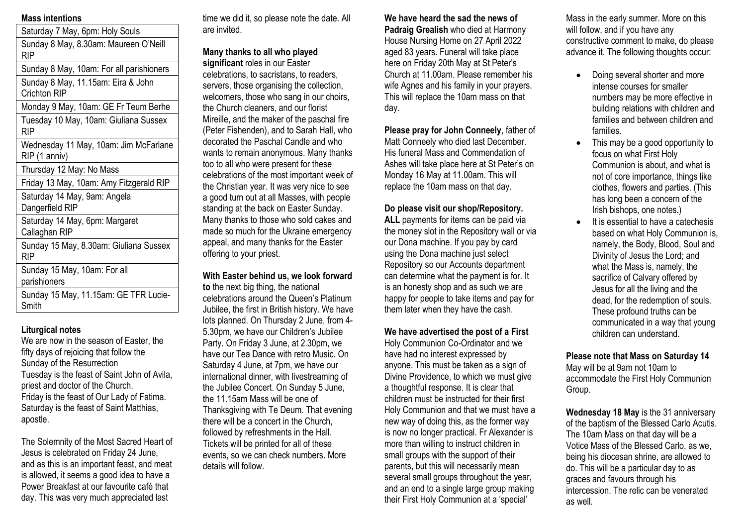## **Mass intentions**

| Saturday 7 May, 6pm: Holy Souls                        |
|--------------------------------------------------------|
| Sunday 8 May, 8.30am: Maureen O'Neill<br>RIP           |
| Sunday 8 May, 10am: For all parishioners               |
| Sunday 8 May, 11.15am: Eira & John<br>Crichton RIP     |
| Monday 9 May, 10am: GE Fr Teum Berhe                   |
| Tuesday 10 May, 10am: Giuliana Sussex<br>RIP           |
| Wednesday 11 May, 10am: Jim McFarlane<br>RIP (1 anniv) |
| Thursday 12 May: No Mass                               |
| Friday 13 May, 10am: Amy Fitzgerald RIP                |
| Saturday 14 May, 9am: Angela<br>Dangerfield RIP        |
| Saturday 14 May, 6pm: Margaret<br>Callaghan RIP        |
| Sunday 15 May, 8.30am: Giuliana Sussex<br>RIP          |

Sunday 15 May, 10am: For all parishioners

Sunday 15 May, 11.15am: GE TFR Lucie-Smith

## **Liturgical notes**

We are now in the season of Easter, the fifty days of rejoicing that follow the Sunday of the Resurrection Tuesday is the feast of Saint John of Avila, priest and doctor of the Church. Friday is the feast of Our Lady of Fatima. Saturday is the feast of Saint Matthias, apostle.

The Solemnity of the Most Sacred Heart of Jesus is celebrated on Friday 24 June, and as this is an important feast, and meat is allowed, it seems a good idea to have a Power Breakfast at our favourite café that day. This was very much appreciated last

time we did it, so please note the date. All are invited.

**Many thanks to all who played significant** roles in our Easter celebrations, to sacristans, to readers, servers, those organising the collection, welcomers, those who sang in our choirs, the Church cleaners, and our florist Mireille, and the maker of the paschal fire (Peter Fishenden), and to Sarah Hall, who decorated the Paschal Candle and who wants to remain anonymous. Many thanks too to all who were present for these celebrations of the most important week of the Christian year. It was very nice to see a good turn out at all Masses, with people standing at the back on Easter Sunday. Many thanks to those who sold cakes and made so much for the Ukraine emergency appeal, and many thanks for the Easter offering to your priest.

**With Easter behind us, we look forward to** the next big thing, the national celebrations around the Queen's Platinum Jubilee, the first in British history. We have lots planned. On Thursday 2 June, from 4- 5.30pm, we have our Children's Jubilee Party. On Friday 3 June, at 2.30pm, we have our Tea Dance with retro Music. On Saturday 4 June, at 7pm, we have our international dinner, with livestreaming of the Jubilee Concert. On Sunday 5 June, the 11.15am Mass will be one of Thanksgiving with Te Deum. That evening there will be a concert in the Church, followed by refreshments in the Hall. Tickets will be printed for all of these events, so we can check numbers. More details will follow.

**We have heard the sad the news of Padraig Grealish** who died at Harmony House Nursing Home on 27 April 2022 aged 83 years. Funeral will take place here on Friday 20th May at St Peter's Church at 11.00am. Please remember his

wife Agnes and his family in your prayers. This will replace the 10am mass on that day.

**Please pray for John Conneely**, father of Matt Conneely who died last December. His funeral Mass and Commendation of Ashes will take place here at St Peter's on Monday 16 May at 11.00am. This will replace the 10am mass on that day.

# **Do please visit our shop/Repository.**

**ALL** payments for items can be paid via the money slot in the Repository wall or via our Dona machine. If you pay by card using the Dona machine just select Repository so our Accounts department can determine what the payment is for. It is an honesty shop and as such we are happy for people to take items and pay for them later when they have the cash.

## **We have advertised the post of a First**

Holy Communion Co-Ordinator and we have had no interest expressed by anyone. This must be taken as a sign of Divine Providence, to which we must give a thoughtful response. It is clear that children must be instructed for their first Holy Communion and that we must have a new way of doing this, as the former way is now no longer practical. Fr Alexander is more than willing to instruct children in small groups with the support of their parents, but this will necessarily mean several small groups throughout the year, and an end to a single large group making their First Holy Communion at a 'special'

Mass in the early summer. More on this will follow, and if you have any constructive comment to make, do please advance it. The following thoughts occur:

- Doing several shorter and more intense courses for smaller numbers may be more effective in building relations with children and families and between children and families.
- This may be a good opportunity to focus on what First Holy Communion is about, and what is not of core importance, things like clothes, flowers and parties. (This has long been a concern of the Irish bishops, one notes.)
- It is essential to have a catechesis based on what Holy Communion is, namely, the Body, Blood, Soul and Divinity of Jesus the Lord; and what the Mass is, namely, the sacrifice of Calvary offered by Jesus for all the living and the dead, for the redemption of souls. These profound truths can be communicated in a way that young children can understand.

### **Please note that Mass on Saturday 14** May will be at 9am not 10am to accommodate the First Holy Communion Group.

**Wednesday 18 May** is the 31 anniversary of the baptism of the Blessed Carlo Acutis. The 10am Mass on that day will be a Votice Mass of the Blessed Carlo, as we, being his diocesan shrine, are allowed to do. This will be a particular day to as graces and favours through his intercession. The relic can be venerated as well.